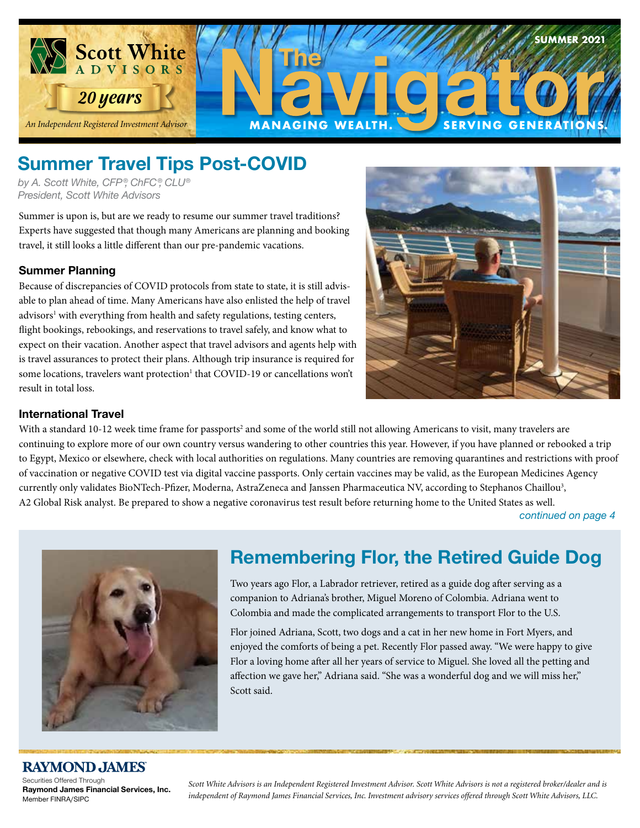

# **Summer Travel Tips Post-COVID**

*by A. Scott White, CFP ®, ChFC®, CLU® President, Scott White Advisors*

Summer is upon is, but are we ready to resume our summer travel traditions?  Experts have suggested that though many Americans are planning and booking travel, it still looks a little different than our pre-pandemic vacations.

### **Summer Planning**

Because of discrepancies of COVID protocols from state to state, it is still advisable to plan ahead of time. Many Americans have also enlisted the help of travel advisors<sup>1</sup> with everything from health and safety regulations, testing centers, flight bookings, rebookings, and reservations to travel safely, and know what to expect on their vacation. Another aspect that travel advisors and agents help with is travel assurances to protect their plans. Although trip insurance is required for some locations, travelers want protection<sup>1</sup> that COVID-19 or cancellations won't result in total loss.



#### **International Travel**

With a standard 10-12 week time frame for passports<sup>2</sup> and some of the world still not allowing Americans to visit, many travelers are continuing to explore more of our own country versus wandering to other countries this year. However, if you have planned or rebooked a trip to Egypt, Mexico or elsewhere, check with local authorities on regulations. Many countries are removing quarantines and restrictions with proof of vaccination or negative COVID test via digital vaccine passports. Only certain vaccines may be valid, as the European Medicines Agency currently only validates BioNTech-Pfizer, Moderna, AstraZeneca and Janssen Pharmaceutica NV, according to Stephanos Chaillou3 , A2 Global Risk analyst. Be prepared to show a negative coronavirus test result before returning home to the United States as well.

*continued on page 4*

**SUMMER 2021**



# **Remembering Flor, the Retired Guide Dog**

Two years ago Flor, a Labrador retriever, retired as a guide dog after serving as a companion to Adriana's brother, Miguel Moreno of Colombia. Adriana went to Colombia and made the complicated arrangements to transport Flor to the U.S.

Flor joined Adriana, Scott, two dogs and a cat in her new home in Fort Myers, and enjoyed the comforts of being a pet. Recently Flor passed away. "We were happy to give Flor a loving home after all her years of service to Miguel. She loved all the petting and affection we gave her," Adriana said. "She was a wonderful dog and we will miss her," Scott said.

### **RAYMOND JAMES**

Securities Offered Through **Raymond James Financial Services, Inc.**  Member FINRA/SIPC

*Scott White Advisors is an Independent Registered Investment Advisor. Scott White Advisors is not a registered broker/dealer and is independent of Raymond James Financial Services, Inc. Investment advisory services offered through Scott White Advisors, LLC.*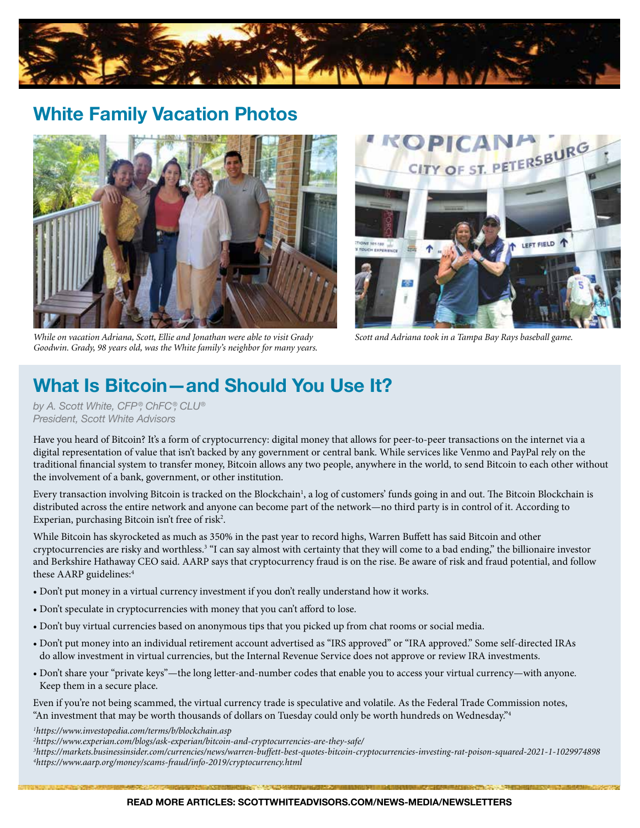

# **White Family Vacation Photos**



*While on vacation Adriana, Scott, Ellie and Jonathan were able to visit Grady Scott and Adriana took in a Tampa Bay Rays baseball game. Goodwin. Grady, 98 years old, was the White family's neighbor for many years.*



# **What Is Bitcoin—and Should You Use It?**

*by A. Scott White, CFP ®, ChFC®, CLU® President, Scott White Advisors*

Have you heard of Bitcoin? It's a form of cryptocurrency: digital money that allows for peer-to-peer transactions on the internet via a digital representation of value that isn't backed by any government or central bank. While services like Venmo and PayPal rely on the traditional financial system to transfer money, Bitcoin allows any two people, anywhere in the world, to send Bitcoin to each other without the involvement of a bank, government, or other institution.

Every transaction involving Bitcoin is tracked on the Blockchain<sup>1</sup>, a log of customers' funds going in and out. The Bitcoin Blockchain is distributed across the entire network and anyone can become part of the network—no third party is in control of it. According to Experian, purchasing Bitcoin isn't free of risk<sup>2</sup>.

While Bitcoin has skyrocketed as much as 350% in the past year to record highs, Warren Buffett has said Bitcoin and other cryptocurrencies are risky and worthless.3 "I can say almost with certainty that they will come to a bad ending," the billionaire investor and Berkshire Hathaway CEO said. AARP says that cryptocurrency fraud is on the rise. Be aware of risk and fraud potential, and follow these AARP guidelines:<sup>4</sup>

- Don't put money in a virtual currency investment if you don't really understand how it works.
- Don't speculate in cryptocurrencies with money that you can't afford to lose.
- Don't buy virtual currencies based on anonymous tips that you picked up from chat rooms or social media.
- Don't put money into an individual retirement account advertised as "IRS approved" or "IRA approved." Some self-directed IRAs do allow investment in virtual currencies, but the Internal Revenue Service does not approve or review IRA investments.
- Don't share your "private keys"—the long letter-and-number codes that enable you to access your virtual currency—with anyone. Keep them in a secure place.

Even if you're not being scammed, the virtual currency trade is speculative and volatile. As the Federal Trade Commission notes, "An investment that may be worth thousands of dollars on Tuesday could only be worth hundreds on Wednesday."4

*1 https://www.investopedia.com/terms/b/blockchain.asp*

*3 https://markets.businessinsider.com/currencies/news/warren-buffett-best-quotes-bitcoin-cryptocurrencies-investing-rat-poison-squared-2021-1-1029974898 4 https://www.aarp.org/money/scams-fraud/info-2019/cryptocurrency.html*

*<sup>2</sup> https://www.experian.com/blogs/ask-experian/bitcoin-and-cryptocurrencies-are-they-safe/*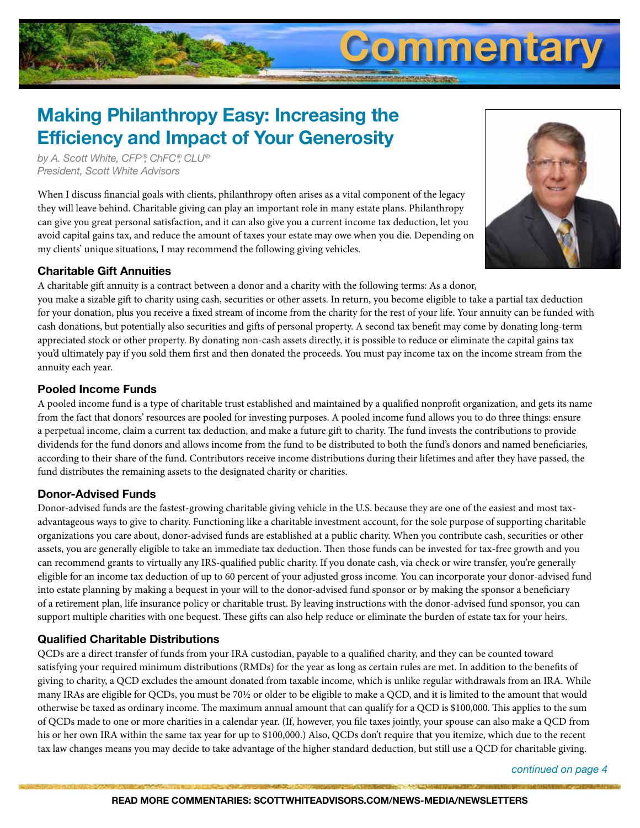# **Making Philanthropy Easy: Increasing the Efficiency and Impact of Your Generosity**

*by A. Scott White, CFP ®, ChFC®, CLU® President, Scott White Advisors*

When I discuss financial goals with clients, philanthropy often arises as a vital component of the legacy they will leave behind. Charitable giving can play an important role in many estate plans. Philanthropy can give you great personal satisfaction, and it can also give you a current income tax deduction, let you avoid capital gains tax, and reduce the amount of taxes your estate may owe when you die. Depending on my clients' unique situations, I may recommend the following giving vehicles.



**Commentary**

### **Charitable Gift Annuities**

A charitable gift annuity is a contract between a donor and a charity with the following terms: As a donor,

you make a sizable gift to charity using cash, securities or other assets. In return, you become eligible to take a partial tax deduction for your donation, plus you receive a fixed stream of income from the charity for the rest of your life. Your annuity can be funded with cash donations, but potentially also securities and gifts of personal property. A second tax benefit may come by donating long-term appreciated stock or other property. By donating non-cash assets directly, it is possible to reduce or eliminate the capital gains tax you'd ultimately pay if you sold them first and then donated the proceeds. You must pay income tax on the income stream from the annuity each year.

#### **Pooled Income Funds**

A pooled income fund is a type of charitable trust established and maintained by a qualified nonprofit organization, and gets its name from the fact that donors' resources are pooled for investing purposes. A pooled income fund allows you to do three things: ensure a perpetual income, claim a current tax deduction, and make a future gift to charity. The fund invests the contributions to provide dividends for the fund donors and allows income from the fund to be distributed to both the fund's donors and named beneficiaries, according to their share of the fund. Contributors receive income distributions during their lifetimes and after they have passed, the fund distributes the remaining assets to the designated charity or charities.

### **Donor-Advised Funds**

Donor-advised funds are the fastest-growing charitable giving vehicle in the U.S. because they are one of the easiest and most taxadvantageous ways to give to charity. Functioning like a charitable investment account, for the sole purpose of supporting charitable organizations you care about, donor-advised funds are established at a public charity. When you contribute cash, securities or other assets, you are generally eligible to take an immediate tax deduction. Then those funds can be invested for tax-free growth and you can recommend grants to virtually any IRS-qualified public charity. If you donate cash, via check or wire transfer, you're generally eligible for an income tax deduction of up to 60 percent of your adjusted gross income. You can incorporate your donor-advised fund into estate planning by making a bequest in your will to the donor-advised fund sponsor or by making the sponsor a beneficiary of a retirement plan, life insurance policy or charitable trust. By leaving instructions with the donor-advised fund sponsor, you can support multiple charities with one bequest. These gifts can also help reduce or eliminate the burden of estate tax for your heirs.

#### **Qualified Charitable Distributions**

QCDs are a direct transfer of funds from your IRA custodian, payable to a qualified charity, and they can be counted toward satisfying your required minimum distributions (RMDs) for the year as long as certain rules are met. In addition to the benefits of giving to charity, a QCD excludes the amount donated from taxable income, which is unlike regular withdrawals from an IRA. While many IRAs are eligible for QCDs, you must be 70½ or older to be eligible to make a QCD, and it is limited to the amount that would otherwise be taxed as ordinary income. The maximum annual amount that can qualify for a QCD is \$100,000. This applies to the sum of QCDs made to one or more charities in a calendar year. (If, however, you file taxes jointly, your spouse can also make a QCD from his or her own IRA within the same tax year for up to \$100,000.) Also, QCDs don't require that you itemize, which due to the recent tax law changes means you may decide to take advantage of the higher standard deduction, but still use a QCD for charitable giving.

*continued on page 4*